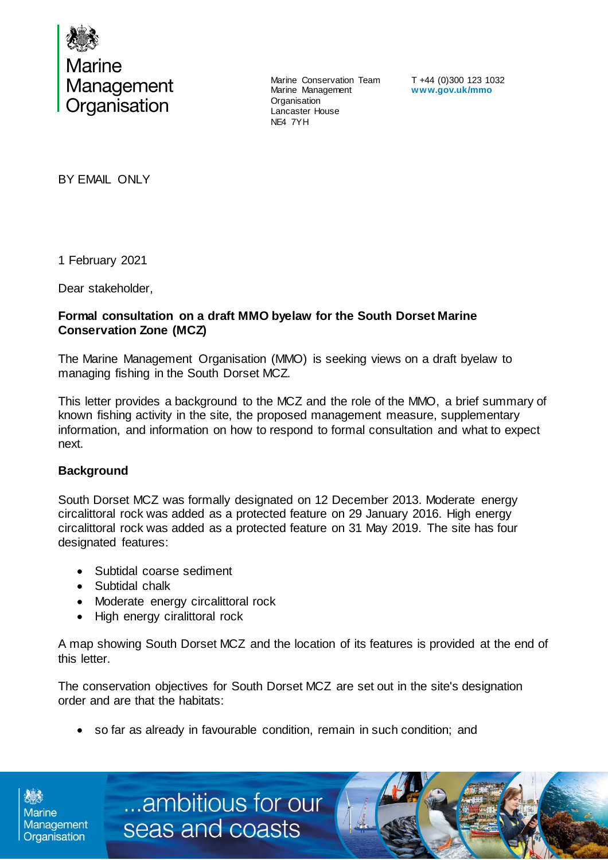

Marine Conservation Team Marine Management **Organisation** Lancaster House NE4 7YH

T +44 (0)300 123 1032 **www.gov.uk/mmo**

BY EMAIL ONLY

1 February 2021

Dear stakeholder,

## **Formal consultation on a draft MMO byelaw for the South Dorset Marine Conservation Zone (MCZ)**

The Marine Management Organisation (MMO) is seeking views on a draft byelaw to managing fishing in the South Dorset MCZ.

This letter provides a background to the MCZ and the role of the MMO, a brief summary of known fishing activity in the site, the proposed management measure, supplementary information, and information on how to respond to formal consultation and what to expect next.

## **Background**

Organisation

South Dorset MCZ was formally designated on 12 December 2013. Moderate energy circalittoral rock was added as a protected feature on 29 January 2016. High energy circalittoral rock was added as a protected feature on 31 May 2019. The site has four designated features:

- Subtidal coarse sediment
- Subtidal chalk
- Moderate energy circalittoral rock

Marine **Management** Marine **Seas and coasts** 

High energy ciralittoral rock

A map showing South Dorset MCZ and the location of its features is provided at the end of this letter.

[../../../../../../../BE/ai/Case](http://teamsites/sites/MMOTeams/BE/ai/Case%20Management/Forms/AllItems.aspx) 

The conservation objectives for South Dorset MCZ are set out in the site's designation order and are that the habitats:

so far as already in favourable condition, remain in such condition; and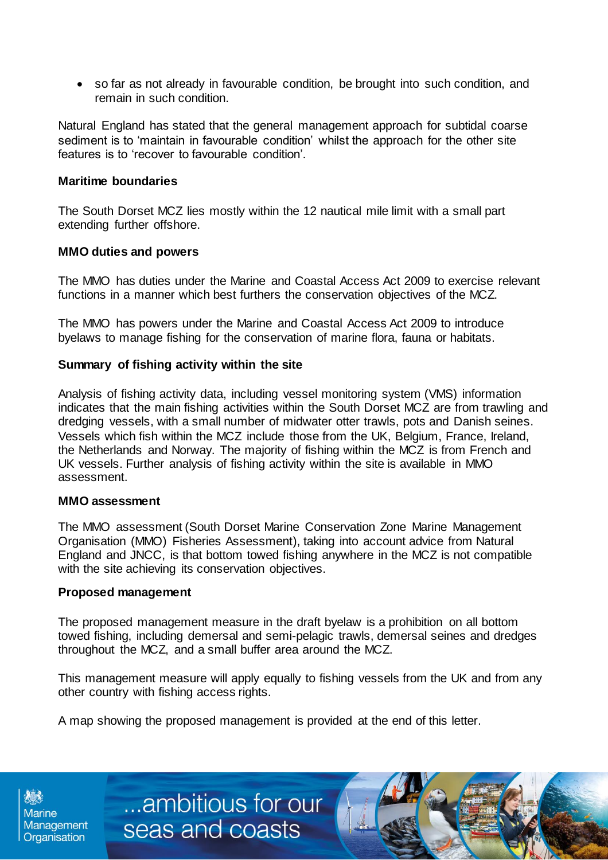so far as not already in favourable condition, be brought into such condition, and remain in such condition.

Natural England has stated that the general management approach for subtidal coarse sediment is to 'maintain in favourable condition' whilst the approach for the other site features is to 'recover to favourable condition'.

### **Maritime boundaries**

The South Dorset MCZ lies mostly within the 12 nautical mile limit with a small part extending further offshore.

### **MMO duties and powers**

The MMO has duties under the Marine and Coastal Access Act 2009 to exercise relevant functions in a manner which best furthers the conservation objectives of the MCZ.

The MMO has powers under the Marine and Coastal Access Act 2009 to introduce byelaws to manage fishing for the conservation of marine flora, fauna or habitats.

## **Summary of fishing activity within the site**

Analysis of fishing activity data, including vessel monitoring system (VMS) information indicates that the main fishing activities within the South Dorset MCZ are from trawling and dredging vessels, with a small number of midwater otter trawls, pots and Danish seines. Vessels which fish within the MCZ include those from the UK, Belgium, France, Ireland, the Netherlands and Norway. The majority of fishing within the MCZ is from French and UK vessels. Further analysis of fishing activity within the site is available in MMO assessment.

#### **MMO assessment**

The MMO assessment (South Dorset Marine Conservation Zone Marine Management Organisation (MMO) Fisheries Assessment), taking into account advice from Natural England and JNCC, is that bottom towed fishing anywhere in the MCZ is not compatible with the site achieving its conservation objectives.

#### **Proposed management**

The proposed management measure in the draft byelaw is a prohibition on all bottom towed fishing, including demersal and semi-pelagic trawls, demersal seines and dredges throughout the MCZ, and a small buffer area around the MCZ.

This management measure will apply equally to fishing vessels from the UK and from any other country with fishing access rights.

A map showing the proposed management is provided at the end of this letter.

**Marine** Management Organisation

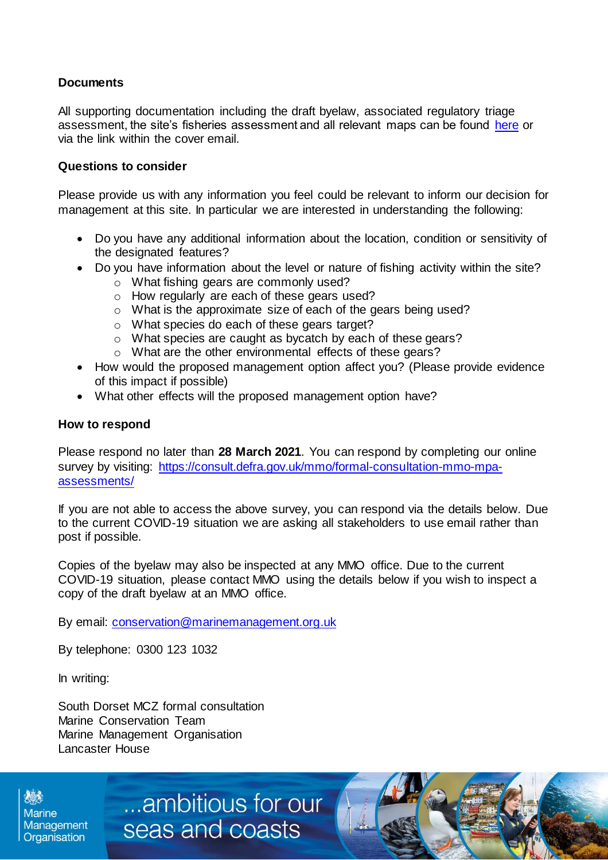# **Documents**

All supporting documentation including the draft byelaw, associated regulatory triage assessment, the site's fisheries assessment and all relevant maps can be found [here](https://consult.defra.gov.uk/mmo/formal-consultation-mmo-mpa-assessments) or via the link within the cover email.

## **Questions to consider**

Please provide us with any information you feel could be relevant to inform our decision for management at this site. In particular we are interested in understanding the following:

- Do you have any additional information about the location, condition or sensitivity of the designated features?
- Do you have information about the level or nature of fishing activity within the site?
	- o What fishing gears are commonly used?
	- o How regularly are each of these gears used?
	- o What is the approximate size of each of the gears being used?
	- o What species do each of these gears target?
	- o What species are caught as bycatch by each of these gears?
	- o What are the other environmental effects of these gears?
- How would the proposed management option affect you? (Please provide evidence of this impact if possible)
- What other effects will the proposed management option have?

#### **How to respond**

Please respond no later than **28 March 2021**. You can respond by completing our online survey by visiting: [https://consult.defra.gov.uk/mmo/formal-consultation-mmo-mpa](https://consult.defra.gov.uk/mmo/formal-consultation-mmo-mpa-assessments/)[assessments/](https://consult.defra.gov.uk/mmo/formal-consultation-mmo-mpa-assessments/)

If you are not able to access the above survey, you can respond via the details below. Due to the current COVID-19 situation we are asking all stakeholders to use email rather than post if possible.

Copies of the byelaw may also be inspected at any MMO office. Due to the current COVID-19 situation, please contact MMO using the details below if you wish to inspect a copy of the draft byelaw at an MMO office.

By email: [conservation@marinemanagement.org.uk](mailto:conservation@marinemanagement.org.uk)

By telephone: 0300 123 1032

In writing:

South Dorset MCZ formal consultation Marine Conservation Team Marine Management Organisation Lancaster House

**Marine** Management Organisation

...ambitious for our seas and coasts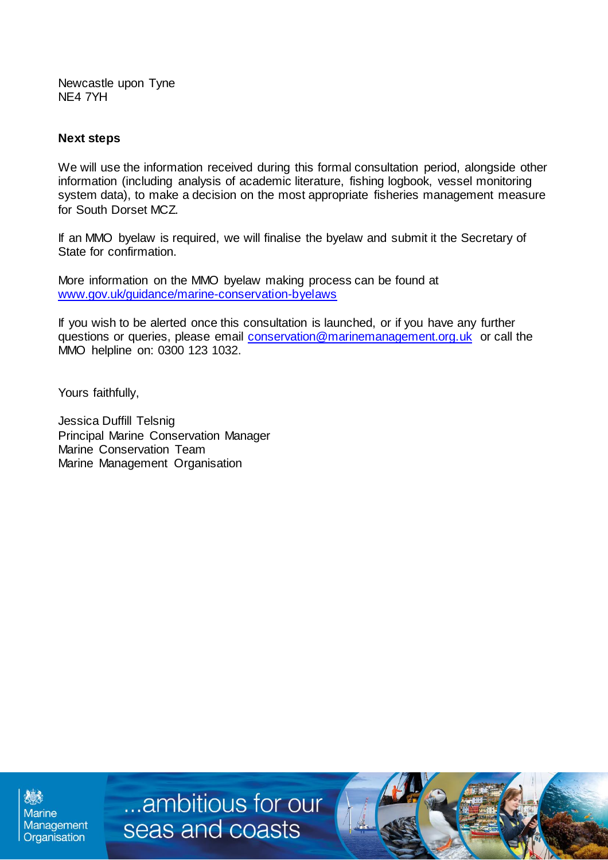Newcastle upon Tyne NE4 7YH

# **Next steps**

We will use the information received during this formal consultation period, alongside other information (including analysis of academic literature, fishing logbook, vessel monitoring system data), to make a decision on the most appropriate fisheries management measure for South Dorset MCZ.

If an MMO byelaw is required, we will finalise the byelaw and submit it the Secretary of State for confirmation.

More information on the MMO byelaw making process can be found at [www.gov.uk/guidance/marine-conservation-byelaws](http://www.gov.uk/guidance/marine-conservation-byelaws)

If you wish to be alerted once this consultation is launched, or if you have any further questions or queries, please email [conservation@marinemanagement.org.uk](mailto:conservation@marinemanagement.org.uk) or call the MMO helpline on: 0300 123 1032.

Yours faithfully,

Jessica Duffill Telsnig Principal Marine Conservation Manager Marine Conservation Team Marine Management Organisation

**Marine** Management Organisation

...ambitious for our seas and coasts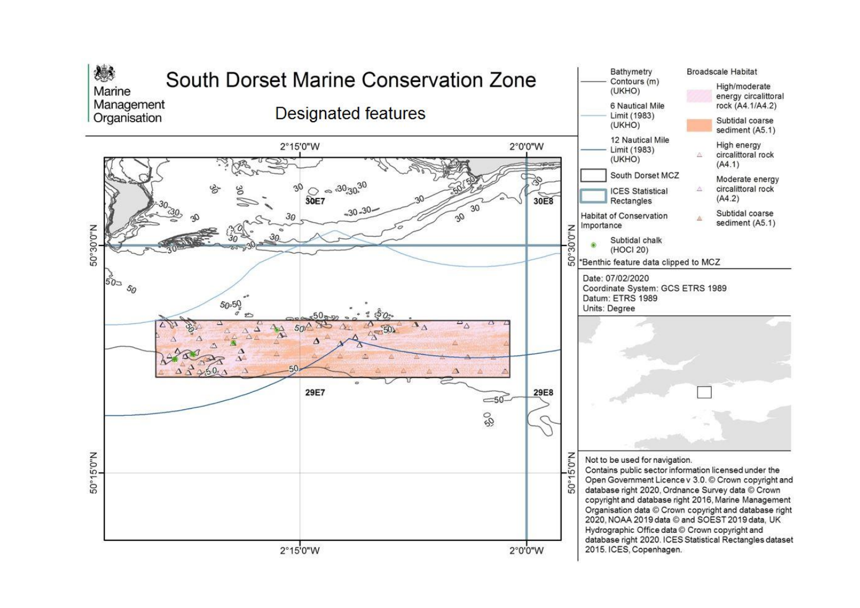